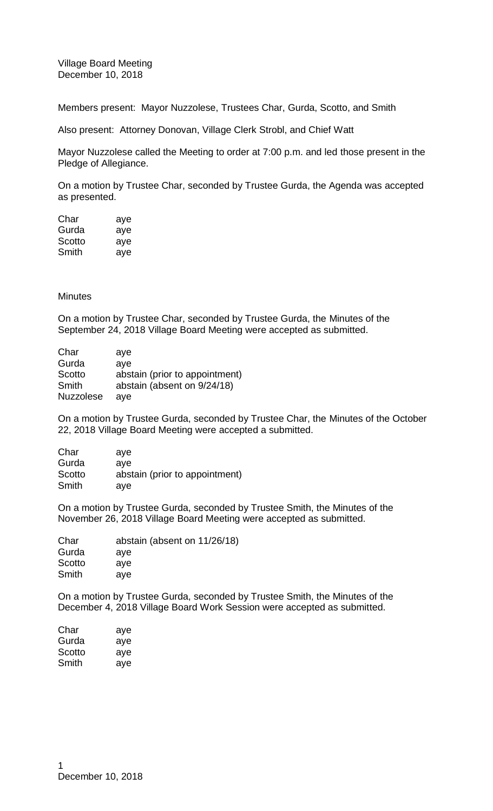Village Board Meeting December 10, 2018

Members present: Mayor Nuzzolese, Trustees Char, Gurda, Scotto, and Smith

Also present: Attorney Donovan, Village Clerk Strobl, and Chief Watt

Mayor Nuzzolese called the Meeting to order at 7:00 p.m. and led those present in the Pledge of Allegiance.

On a motion by Trustee Char, seconded by Trustee Gurda, the Agenda was accepted as presented.

| Char   | aye |
|--------|-----|
| Gurda  | aye |
| Scotto | aye |
| Smith  | aye |

### **Minutes**

On a motion by Trustee Char, seconded by Trustee Gurda, the Minutes of the September 24, 2018 Village Board Meeting were accepted as submitted.

| Char             | ave                            |
|------------------|--------------------------------|
| Gurda            | aye                            |
| Scotto           | abstain (prior to appointment) |
| Smith            | abstain (absent on 9/24/18)    |
| <b>Nuzzolese</b> | ave                            |

On a motion by Trustee Gurda, seconded by Trustee Char, the Minutes of the October 22, 2018 Village Board Meeting were accepted a submitted.

| Char   | ave                            |
|--------|--------------------------------|
| Gurda  | ave                            |
| Scotto | abstain (prior to appointment) |
| Smith  | ave                            |

On a motion by Trustee Gurda, seconded by Trustee Smith, the Minutes of the November 26, 2018 Village Board Meeting were accepted as submitted.

| abstain (absent on 11/26/18) |
|------------------------------|
| ave                          |
| ave                          |
| ave                          |
|                              |

On a motion by Trustee Gurda, seconded by Trustee Smith, the Minutes of the December 4, 2018 Village Board Work Session were accepted as submitted.

| Char   | aye |
|--------|-----|
| Gurda  | aye |
| Scotto | aye |
| Smith  | ave |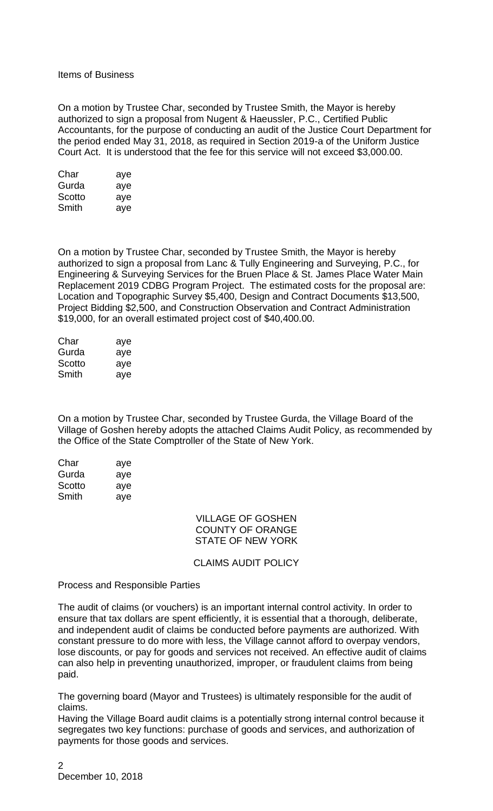Items of Business

On a motion by Trustee Char, seconded by Trustee Smith, the Mayor is hereby authorized to sign a proposal from Nugent & Haeussler, P.C., Certified Public Accountants, for the purpose of conducting an audit of the Justice Court Department for the period ended May 31, 2018, as required in Section 2019-a of the Uniform Justice Court Act. It is understood that the fee for this service will not exceed \$3,000.00.

| Char   | aye |
|--------|-----|
| Gurda  | aye |
| Scotto | aye |
| Smith  | ave |

On a motion by Trustee Char, seconded by Trustee Smith, the Mayor is hereby authorized to sign a proposal from Lanc & Tully Engineering and Surveying, P.C., for Engineering & Surveying Services for the Bruen Place & St. James Place Water Main Replacement 2019 CDBG Program Project. The estimated costs for the proposal are: Location and Topographic Survey \$5,400, Design and Contract Documents \$13,500, Project Bidding \$2,500, and Construction Observation and Contract Administration \$19,000, for an overall estimated project cost of \$40,400.00.

| Char   | aye |
|--------|-----|
| Gurda  | aye |
| Scotto | aye |
| Smith  | ave |

On a motion by Trustee Char, seconded by Trustee Gurda, the Village Board of the Village of Goshen hereby adopts the attached Claims Audit Policy, as recommended by the Office of the State Comptroller of the State of New York.

| Char   | aye |
|--------|-----|
| Gurda  | aye |
| Scotto | aye |
| Smith  | aye |

#### VILLAGE OF GOSHEN COUNTY OF ORANGE STATE OF NEW YORK

### CLAIMS AUDIT POLICY

Process and Responsible Parties

The audit of claims (or vouchers) is an important internal control activity. In order to ensure that tax dollars are spent efficiently, it is essential that a thorough, deliberate, and independent audit of claims be conducted before payments are authorized. With constant pressure to do more with less, the Village cannot afford to overpay vendors, lose discounts, or pay for goods and services not received. An effective audit of claims can also help in preventing unauthorized, improper, or fraudulent claims from being paid.

The governing board (Mayor and Trustees) is ultimately responsible for the audit of claims.

Having the Village Board audit claims is a potentially strong internal control because it segregates two key functions: purchase of goods and services, and authorization of payments for those goods and services.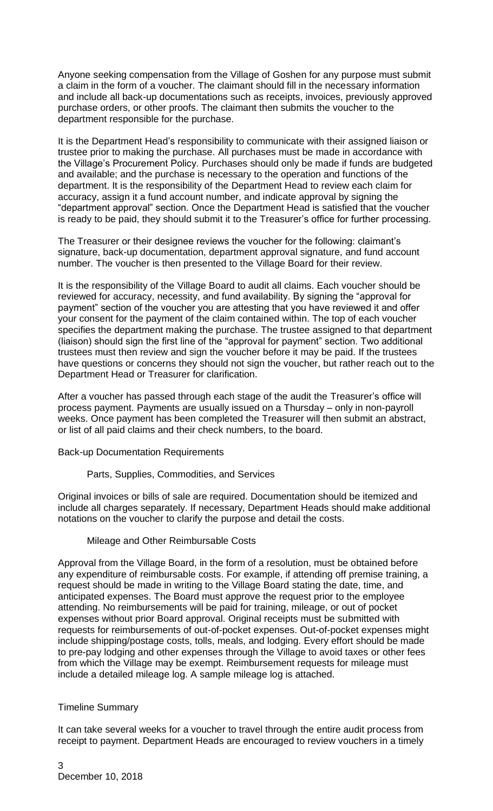Anyone seeking compensation from the Village of Goshen for any purpose must submit a claim in the form of a voucher. The claimant should fill in the necessary information and include all back-up documentations such as receipts, invoices, previously approved purchase orders, or other proofs. The claimant then submits the voucher to the department responsible for the purchase.

It is the Department Head's responsibility to communicate with their assigned liaison or trustee prior to making the purchase. All purchases must be made in accordance with the Village's Procurement Policy. Purchases should only be made if funds are budgeted and available; and the purchase is necessary to the operation and functions of the department. It is the responsibility of the Department Head to review each claim for accuracy, assign it a fund account number, and indicate approval by signing the "department approval" section. Once the Department Head is satisfied that the voucher is ready to be paid, they should submit it to the Treasurer's office for further processing.

The Treasurer or their designee reviews the voucher for the following: claimant's signature, back-up documentation, department approval signature, and fund account number. The voucher is then presented to the Village Board for their review.

It is the responsibility of the Village Board to audit all claims. Each voucher should be reviewed for accuracy, necessity, and fund availability. By signing the "approval for payment" section of the voucher you are attesting that you have reviewed it and offer your consent for the payment of the claim contained within. The top of each voucher specifies the department making the purchase. The trustee assigned to that department (liaison) should sign the first line of the "approval for payment" section. Two additional trustees must then review and sign the voucher before it may be paid. If the trustees have questions or concerns they should not sign the voucher, but rather reach out to the Department Head or Treasurer for clarification.

After a voucher has passed through each stage of the audit the Treasurer's office will process payment. Payments are usually issued on a Thursday – only in non-payroll weeks. Once payment has been completed the Treasurer will then submit an abstract, or list of all paid claims and their check numbers, to the board.

Back-up Documentation Requirements

Parts, Supplies, Commodities, and Services

Original invoices or bills of sale are required. Documentation should be itemized and include all charges separately. If necessary, Department Heads should make additional notations on the voucher to clarify the purpose and detail the costs.

# Mileage and Other Reimbursable Costs

Approval from the Village Board, in the form of a resolution, must be obtained before any expenditure of reimbursable costs. For example, if attending off premise training, a request should be made in writing to the Village Board stating the date, time, and anticipated expenses. The Board must approve the request prior to the employee attending. No reimbursements will be paid for training, mileage, or out of pocket expenses without prior Board approval. Original receipts must be submitted with requests for reimbursements of out-of-pocket expenses. Out-of-pocket expenses might include shipping/postage costs, tolls, meals, and lodging. Every effort should be made to pre-pay lodging and other expenses through the Village to avoid taxes or other fees from which the Village may be exempt. Reimbursement requests for mileage must include a detailed mileage log. A sample mileage log is attached.

#### Timeline Summary

It can take several weeks for a voucher to travel through the entire audit process from receipt to payment. Department Heads are encouraged to review vouchers in a timely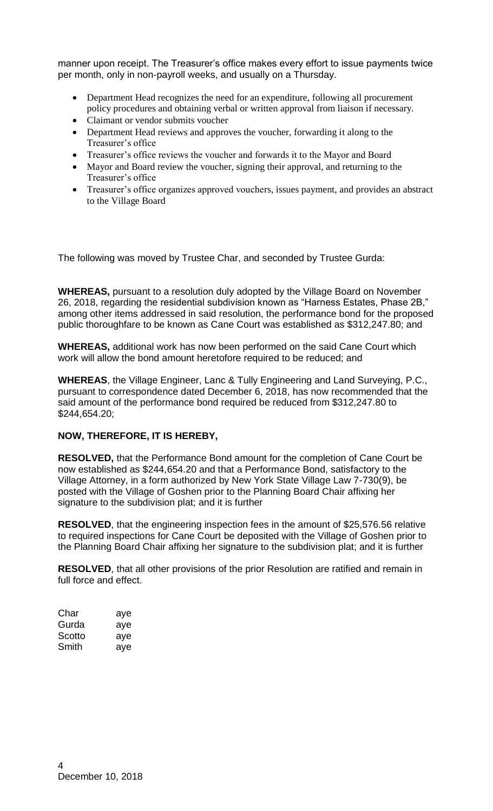manner upon receipt. The Treasurer's office makes every effort to issue payments twice per month, only in non-payroll weeks, and usually on a Thursday.

- Department Head recognizes the need for an expenditure, following all procurement policy procedures and obtaining verbal or written approval from liaison if necessary.
- Claimant or vendor submits voucher
- Department Head reviews and approves the voucher, forwarding it along to the Treasurer's office
- Treasurer's office reviews the voucher and forwards it to the Mayor and Board
- Mayor and Board review the voucher, signing their approval, and returning to the Treasurer's office
- Treasurer's office organizes approved vouchers, issues payment, and provides an abstract to the Village Board

The following was moved by Trustee Char, and seconded by Trustee Gurda:

**WHEREAS,** pursuant to a resolution duly adopted by the Village Board on November 26, 2018, regarding the residential subdivision known as "Harness Estates, Phase 2B," among other items addressed in said resolution, the performance bond for the proposed public thoroughfare to be known as Cane Court was established as \$312,247.80; and

**WHEREAS,** additional work has now been performed on the said Cane Court which work will allow the bond amount heretofore required to be reduced; and

**WHEREAS**, the Village Engineer, Lanc & Tully Engineering and Land Surveying, P.C., pursuant to correspondence dated December 6, 2018, has now recommended that the said amount of the performance bond required be reduced from \$312,247.80 to \$244,654.20;

# **NOW, THEREFORE, IT IS HEREBY,**

**RESOLVED,** that the Performance Bond amount for the completion of Cane Court be now established as \$244,654.20 and that a Performance Bond, satisfactory to the Village Attorney, in a form authorized by New York State Village Law 7-730(9), be posted with the Village of Goshen prior to the Planning Board Chair affixing her signature to the subdivision plat; and it is further

**RESOLVED**, that the engineering inspection fees in the amount of \$25,576.56 relative to required inspections for Cane Court be deposited with the Village of Goshen prior to the Planning Board Chair affixing her signature to the subdivision plat; and it is further

**RESOLVED**, that all other provisions of the prior Resolution are ratified and remain in full force and effect.

| Char   | aye |
|--------|-----|
| Gurda  | aye |
| Scotto | aye |
| Smith  | aye |